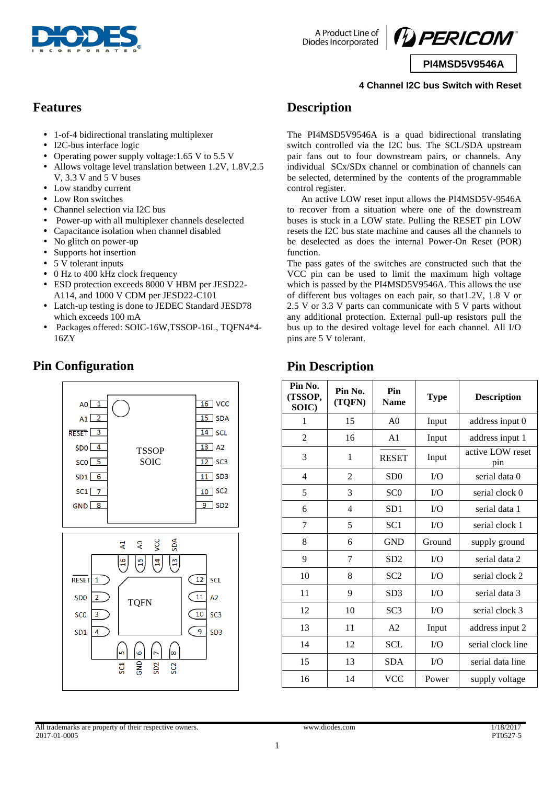



**PI4MSD5V9546A**

#### **4 Channel I2C bus Switch with Reset**

#### **Features**

- 1-of-4 bidirectional translating multiplexer
- I2C-bus interface logic
- Operating power supply voltage: 1.65 V to 5.5 V
- Allows voltage level translation between 1.2V, 1.8V,2.5 V, 3.3 V and 5 V buses
- Low standby current
- Low Ron switches
- Channel selection via I2C bus
- Power-up with all multiplexer channels deselected
- Capacitance isolation when channel disabled
- No glitch on power-up
- Supports hot insertion
- 5 V tolerant inputs

**Pin Configuration**

- 0 Hz to 400 kHz clock frequency
- ESD protection exceeds 8000 V HBM per JESD22- A114, and 1000 V CDM per JESD22-C101
- Latch-up testing is done to JEDEC Standard JESD78 which exceeds 100 mA
- Packages offered: SOIC-16W,TSSOP-16L, TQFN4\*4- 16ZY

#### $16$  VCC  $A<sub>0</sub>$  $15$  SDA  $A1$  $RESET$   $3$  $14$  SCL  $13$  A<sub>2</sub>  $SDO<sup>4</sup>$ **TSSOP**  $SCO \ 5$ SOIC  $\overline{12}$  SC3  $SD1$ <sup>6</sup>  $11$  SD3  $10$  SC<sub>2</sub>  $SC1$   $7$  $GND$   $8$  $9$  SD2 ă å ğ 보  $\mathbb{E}$  $\frac{9}{16}$  $\frac{1}{1}$  $\widetilde{F}$  $\sqrt{12}$ **RESET**  $\mathbf{1}$ SCL 11  $A2$ S<sub>DO</sub> **TOFN** SC<sub>0</sub>  $\overline{3}$ 10 SC<sub>3</sub> 9 SD<sub>1</sub>  $\overline{A}$  $SD3$ ါထ ں<br>5 502 SC<sub>2</sub> ដូ

# **Description**

The PI4MSD5V9546A is a quad bidirectional translating switch controlled via the I2C bus. The SCL/SDA upstream pair fans out to four downstream pairs, or channels. Any individual SCx/SDx channel or combination of channels can be selected, determined by the contents of the programmable control register.

An active LOW reset input allows the PI4MSD5V-9546A to recover from a situation where one of the downstream buses is stuck in a LOW state. Pulling the RESET pin LOW resets the I2C bus state machine and causes all the channels to be deselected as does the internal Power-On Reset (POR) function.

The pass gates of the switches are constructed such that the VCC pin can be used to limit the maximum high voltage which is passed by the PI4MSD5V9546A. This allows the use of different bus voltages on each pair, so that1.2V, 1.8 V or 2.5 V or 3.3 V parts can communicate with 5 V parts without any additional protection. External pull-up resistors pull the bus up to the desired voltage level for each channel. All I/O pins are 5 V tolerant.

### **Pin Description**

| Pin No.<br>(TSSOP,<br>SOIC) | Pin No.<br>(TQFN) | Pin<br><b>Name</b> | <b>Type</b> | <b>Description</b>      |
|-----------------------------|-------------------|--------------------|-------------|-------------------------|
| 1                           | 15                | A <sub>0</sub>     | Input       | address input 0         |
| $\overline{2}$              | 16                | A <sub>1</sub>     | Input       | address input 1         |
| 3                           | 1                 | <b>RESET</b>       | Input       | active LOW reset<br>pin |
| 4                           | $\overline{c}$    | SD0                | I/O         | serial data 0           |
| 5                           | 3                 | SC <sub>0</sub>    | I/O         | serial clock 0          |
| 6                           | $\overline{4}$    | SD1                | I/O         | serial data 1           |
| 7                           | 5                 | SC <sub>1</sub>    | $\rm LO$    | serial clock 1          |
| 8                           | 6                 | <b>GND</b>         | Ground      | supply ground           |
| 9                           | 7                 | SD2                | I/O         | serial data 2           |
| 10                          | 8                 | SC <sub>2</sub>    | I/O         | serial clock 2          |
| 11                          | 9                 | SD <sub>3</sub>    | I/O         | serial data 3           |
| 12                          | 10                | SC <sub>3</sub>    | I/O         | serial clock 3          |
| 13                          | 11                | A <sub>2</sub>     | Input       | address input 2         |
| 14                          | 12                | <b>SCL</b>         | I/O         | serial clock line       |
| 15                          | 13                | <b>SDA</b>         | $\rm LO$    | serial data line        |
| 16                          | 14                | <b>VCC</b>         | Power       | supply voltage          |

All trademarks are property of their respective owners. www.diodes.com 1/18/2017 2017-01-0005 PT0527-5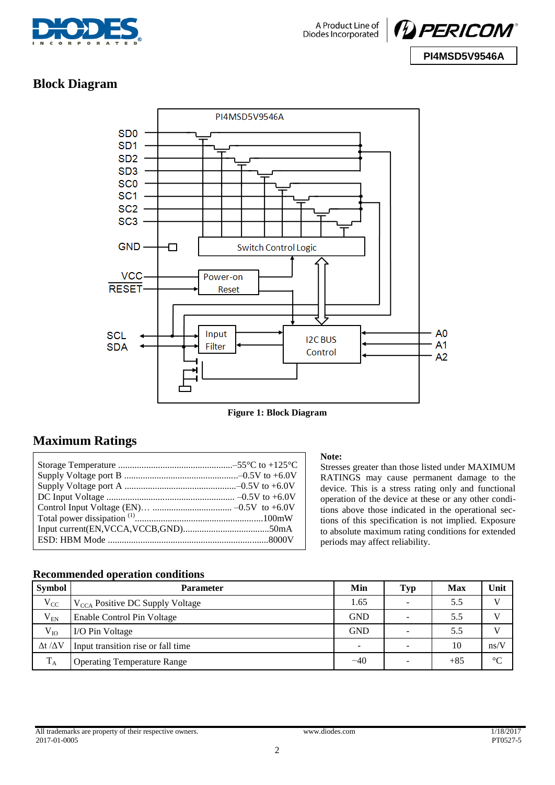



### **Block Diagram**



**Figure 1: Block Diagram**

### **Maximum Ratings**

#### **Note:**

Stresses greater than those listed under MAXIMUM RATINGS may cause permanent damage to the device. This is a stress rating only and functional operation of the device at these or any other conditions above those indicated in the operational sections of this specification is not implied. Exposure to absolute maximum rating conditions for extended periods may affect reliability.

#### **Recommended operation conditions**

| Symbol                | <b>Parameter</b>                            | Min                      | <b>Typ</b>               | Max   | Unit         |
|-----------------------|---------------------------------------------|--------------------------|--------------------------|-------|--------------|
| $V_{CC}$              | $V_{\text{CCA}}$ Positive DC Supply Voltage | 1.65                     | -                        | 5.5   | $\mathbf{V}$ |
| $V_{EN}$              | Enable Control Pin Voltage                  | <b>GND</b>               |                          | 5.5   | V            |
| $V_{IO}$              | I/O Pin Voltage                             | <b>GND</b>               | $\overline{\phantom{0}}$ | 5.5   | V            |
| $\Delta t / \Delta V$ | Input transition rise or fall time          | $\overline{\phantom{a}}$ | -                        | 10    | ns/V         |
| $T_A$                 | <b>Operating Temperature Range</b>          | $-40$                    | -                        | $+85$ | $\infty$     |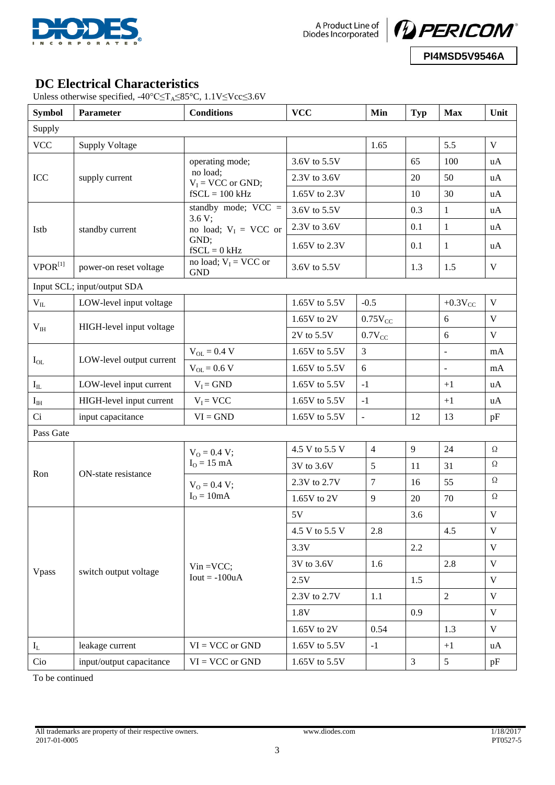



**DC Electrical Characteristics**

Unless otherwise specified,  $-40^{\circ}$ C≤T<sub>A</sub>≤85°C, 1.1V≤Vcc≤3.6V

| <b>Symbol</b>         | Parameter                   | <b>Conditions</b>                     | <b>VCC</b>            | Min            | <b>Typ</b>     | <b>Max</b>               | Unit                    |
|-----------------------|-----------------------------|---------------------------------------|-----------------------|----------------|----------------|--------------------------|-------------------------|
| Supply                |                             |                                       |                       |                |                |                          |                         |
| <b>VCC</b>            | <b>Supply Voltage</b>       |                                       |                       | 1.65           |                | 5.5                      | V                       |
|                       |                             | operating mode;                       | 3.6V to 5.5V          |                | 65             | 100                      | uA                      |
| ICC                   | supply current              | no load;<br>$V_I = VCC$ or GND;       | 2.3V to 3.6V          |                | 20             | 50                       | uA                      |
|                       |                             | $fSCL = 100$ kHz                      | 1.65V to 2.3V         |                | 10             | 30                       | uA                      |
|                       |                             | standby mode; $VCC =$                 | 3.6V to 5.5V          |                | 0.3            | $\mathbf{1}$             | uA                      |
| Istb                  | standby current             | 3.6 V;<br>no load; $V_I$ = VCC or     | 2.3V to 3.6V          |                | 0.1            | $\mathbf{1}$             | uA                      |
|                       |                             | GND;<br>$fSCL = 0$ kHz                | 1.65V to 2.3V         |                | 0.1            | 1                        | uA                      |
| $VPOR^{[1]}$          | power-on reset voltage      | no load; $V_I$ = VCC or<br><b>GND</b> | 3.6V to 5.5V          |                | 1.3            | 1.5                      | $\mathbf V$             |
|                       | Input SCL; input/output SDA |                                       |                       |                |                |                          |                         |
| $\rm V_{II}$          | LOW-level input voltage     |                                       | 1.65V to 5.5V         | $-0.5$         |                | $+0.3V_{CC}$             | $\mathbf V$             |
|                       |                             |                                       | $1.65V$ to 2V         | $0.75V_{CC}$   |                | 6                        | V                       |
| $V_{IH}$              | HIGH-level input voltage    |                                       | 2V to 5.5V            | $0.7V_{CC}$    |                | 6                        | V                       |
|                       |                             | $V_{OL} = 0.4 V$                      | 1.65V to 5.5V         | 3              |                | $\overline{\phantom{a}}$ | mA                      |
| $I_{OL}$              | LOW-level output current    | $V_{OL} = 0.6 V$                      | 1.65V to 5.5V         | 6              |                | $\blacksquare$           | mA                      |
| $\mathbf{I}_{\rm IL}$ | LOW-level input current     | $V_I = GND$                           | 1.65V to 5.5V<br>$-1$ |                |                | $+1$                     | uA                      |
| $I_{IH}$              | HIGH-level input current    | $V_I = VCC$                           | 1.65V to 5.5V         | $-1$           |                | $+1$                     | uA                      |
| Ci                    | input capacitance           | $VI = GND$                            | 1.65V to 5.5V         | $\mathbf{r}$   | 12             | 13                       | pF                      |
| Pass Gate             |                             |                                       |                       |                |                |                          |                         |
|                       |                             | $V_{O} = 0.4 V;$                      | 4.5 V to 5.5 V        | $\overline{4}$ | 9              | 24                       | $\Omega$                |
| Ron                   | ON-state resistance         | $IO = 15 mA$                          | 3V to 3.6V            | 5              | 11             | 31                       | $\Omega$                |
|                       |                             | $V_0 = 0.4 V;$                        | 2.3V to 2.7V          | 7              | 16             | 55                       | $\Omega$                |
|                       |                             | $IO = 10mA$                           | 1.65V to 2V           | 9              | 20             | 70                       | $\Omega$                |
|                       |                             |                                       | 5V                    |                | 3.6            |                          | $\mathbf V$             |
|                       |                             |                                       | 4.5 V to 5.5 V        | 2.8            |                | 4.5                      | $\mathbf V$             |
|                       |                             |                                       | 3.3V                  |                | 2.2            |                          | $\mathbf{V}$            |
|                       |                             | $V$ in = $VCC$ ;                      | 3V to 3.6V            | 1.6            |                | 2.8                      | $\overline{\mathbf{V}}$ |
| Vpass                 | switch output voltage       | $Iout = -100uA$                       | 2.5V                  |                | 1.5            |                          | $\mathbf{V}$            |
|                       |                             |                                       | 2.3V to 2.7V          | 1.1            |                | $\overline{2}$           | $\mathbf{V}$            |
|                       |                             |                                       | 1.8V                  |                | 0.9            |                          | $\mathbf{V}$            |
|                       |                             |                                       | 0.54<br>1.65V to 2V   |                |                | 1.3                      | $\mathbf V$             |
| $\mathbf{I}_{\rm L}$  | leakage current             | $VI = VCC$ or $GND$                   | 1.65V to 5.5V         | $-1$           |                | $+1$                     | uA                      |
| Cio                   | input/output capacitance    | $VI = VCC$ or $GND$                   | 1.65V to 5.5V         |                | $\overline{3}$ | 5 <sup>5</sup>           | pF                      |

To be continued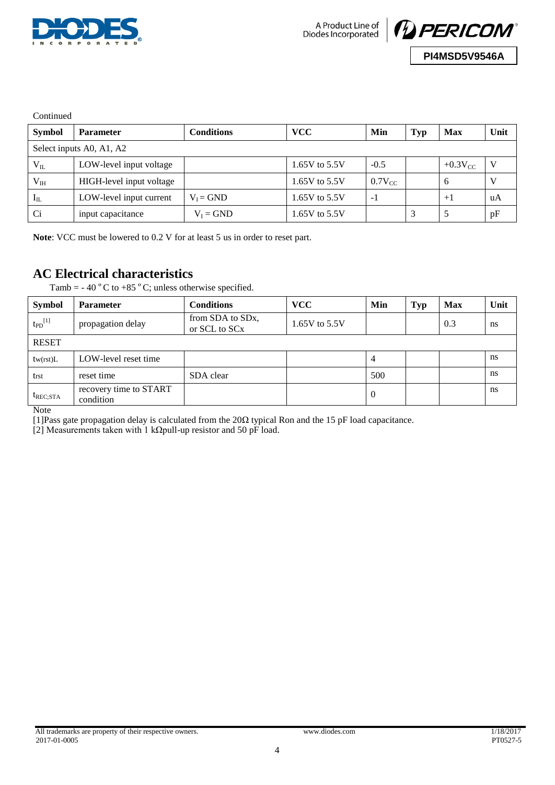



**Continued** 

| <b>Symbol</b>            | <b>Parameter</b>         | Conditions  | <b>VCC</b>      | Min          | <b>Typ</b> | <b>Max</b>   | Unit |
|--------------------------|--------------------------|-------------|-----------------|--------------|------------|--------------|------|
| Select inputs A0, A1, A2 |                          |             |                 |              |            |              |      |
| $V_{IL}$                 | LOW-level input voltage  |             | 1.65V to $5.5V$ | $-0.5$       |            | $+0.3V_{CC}$ |      |
| V <sub>IH</sub>          | HIGH-level input voltage |             | 1.65V to $5.5V$ | $0.7V_{CC}$  |            | <sub>6</sub> |      |
| $I_{IL}$                 | LOW-level input current  | $V_I = GND$ | 1.65V to 5.5V   | $\mathbf{-}$ |            | $+1$         | uA   |
| Ci                       | input capacitance        | $V_I = GND$ | 1.65V to $5.5V$ |              |            |              | pF   |

**Note**: VCC must be lowered to 0.2 V for at least 5 us in order to reset part.

### **AC Electrical characteristics**

Tamb = -40  $^{\circ}$  C to +85  $^{\circ}$  C; unless otherwise specified.

| <b>Symbol</b>           | <b>Parameter</b>                    | <b>Conditions</b>                              | <b>VCC</b>    | Min | <b>Typ</b> | <b>Max</b> | Unit |
|-------------------------|-------------------------------------|------------------------------------------------|---------------|-----|------------|------------|------|
| $t_{PD}$ <sup>[1]</sup> | propagation delay                   | from SDA to SD <sub>x</sub> ,<br>or SCL to SCx | 1.65V to 5.5V |     |            | 0.3        | ns   |
| <b>RESET</b>            |                                     |                                                |               |     |            |            |      |
| tw(rst)L                | LOW-level reset time                |                                                |               | 4   |            |            | ns   |
| trst                    | reset time                          | SDA clear                                      |               | 500 |            |            | ns   |
| $t_{REC;STA}$           | recovery time to START<br>condition |                                                |               | O   |            |            | ns   |

**Note** 

[1]Pass gate propagation delay is calculated from the 20Ω typical Ron and the 15 pF load capacitance.

[2] Measurements taken with 1 kΩpull-up resistor and 50 pF load.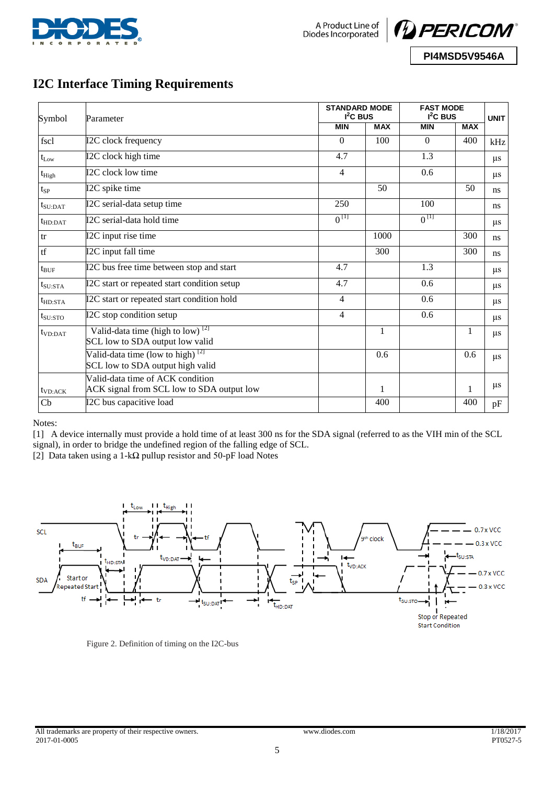



**PI4MSD5V9546A**

# **I2C Interface Timing Requirements**

| Symbol               | Parameter                                                                                     | <b>STANDARD MODE</b><br>$I2C$ BUS |            | <b>FAST MODE</b><br>$I2C$ BUS | <b>UNIT</b>  |              |
|----------------------|-----------------------------------------------------------------------------------------------|-----------------------------------|------------|-------------------------------|--------------|--------------|
|                      |                                                                                               | <b>MIN</b>                        | <b>MAX</b> | <b>MIN</b>                    | <b>MAX</b>   |              |
| fscl                 | I2C clock frequency                                                                           | $\Omega$                          | 100        | $\theta$                      | 400          | kHz          |
| $t_{\rm Low}$        | I2C clock high time                                                                           | 4.7                               |            | 1.3                           |              | $\mu$ s      |
| $t_{High}$           | I2C clock low time                                                                            | 4                                 |            | 0.6                           |              | $\mu$ s      |
| $t_{SP}$             | I2C spike time                                                                                |                                   | 50         |                               | 50           | ns           |
| $t_{\text{SU:DAT}}$  | I2C serial-data setup time                                                                    | 250                               |            | 100                           |              | $\mathbf{n}$ |
| $t_{HD:DAT}$         | I2C serial-data hold time                                                                     | $0^{[1]}$                         |            | $0^{[1]}$                     |              | $\mu$ s      |
| tr                   | I2C input rise time                                                                           |                                   | 1000       |                               | 300          | ns           |
| tf                   | I2C input fall time                                                                           |                                   | 300        |                               | 300          | ns           |
| $t_{\rm BUF}$        | I2C bus free time between stop and start                                                      | 4.7                               |            | 1.3                           |              | $\mu$ s      |
| $t_{\rm SU:STA}$     | I2C start or repeated start condition setup                                                   | 4.7                               |            | 0.6                           |              | $\mu$ s      |
| $t_{HD:STA}$         | I2C start or repeated start condition hold                                                    | 4                                 |            | 0.6                           |              | $\mu$ s      |
| $t_{\rm SU:STO}$     | I2C stop condition setup                                                                      | 4                                 |            | 0.6                           |              | $\mu$ s      |
| t <sub>VD:DATA</sub> | Valid-data time (high to $\overline{low}$ ) <sup>[2]</sup><br>SCL low to SDA output low valid |                                   | 1          |                               | $\mathbf{1}$ | $\mu$ s      |
|                      | Valid-data time (low to high) $^{[2]}$<br>SCL low to SDA output high valid                    |                                   | 0.6        |                               | 0.6          | $\mu$ s      |
| $t_{VD:ACK}$         | Valid-data time of ACK condition<br>ACK signal from SCL low to SDA output low                 |                                   | 1          |                               | 1            | $\mu$ s      |
| Cb                   | I2C bus capacitive load                                                                       |                                   | 400        |                               | 400          | pF           |

Notes:

[1] A device internally must provide a hold time of at least 300 ns for the SDA signal (referred to as the VIH min of the SCL signal), in order to bridge the undefined region of the falling edge of SCL.

[2] Data taken using a 1-kΩ pullup resistor and 50-pF load Notes



Figure 2. Definition of timing on the I2C-bus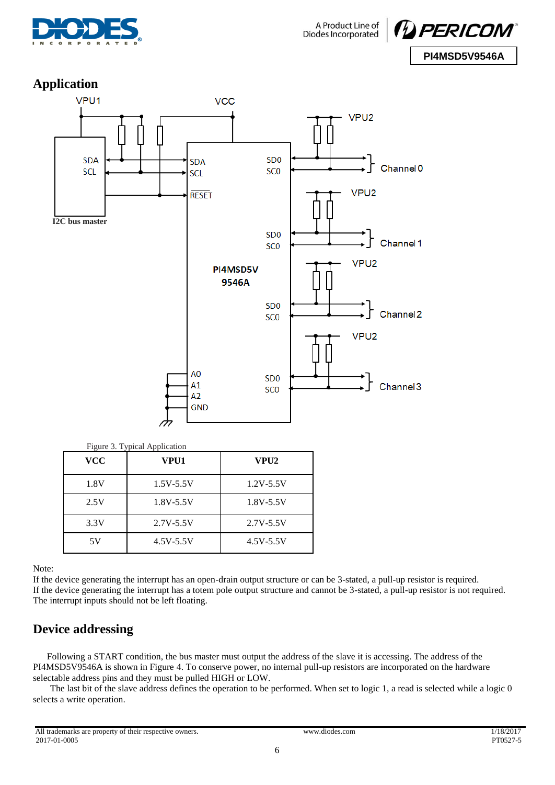



### **Application**



| <b>VCC</b> | VPU1          | VPU2          |
|------------|---------------|---------------|
| 1.8V       | $1.5V - 5.5V$ | $1.2V - 5.5V$ |
| 2.5V       | $1.8V - 5.5V$ | $1.8V - 5.5V$ |
| 3.3V       | $2.7V - 5.5V$ | $2.7V - 5.5V$ |
| 5V         | 4.5V-5.5V     | 4.5V-5.5V     |

Note:

If the device generating the interrupt has an open-drain output structure or can be 3-stated, a pull-up resistor is required. If the device generating the interrupt has a totem pole output structure and cannot be 3-stated, a pull-up resistor is not required. The interrupt inputs should not be left floating.

### **Device addressing**

Following a START condition, the bus master must output the address of the slave it is accessing. The address of the PI4MSD5V9546A is shown in Figure 4. To conserve power, no internal pull-up resistors are incorporated on the hardware selectable address pins and they must be pulled HIGH or LOW.

The last bit of the slave address defines the operation to be performed. When set to logic 1, a read is selected while a logic 0 selects a write operation.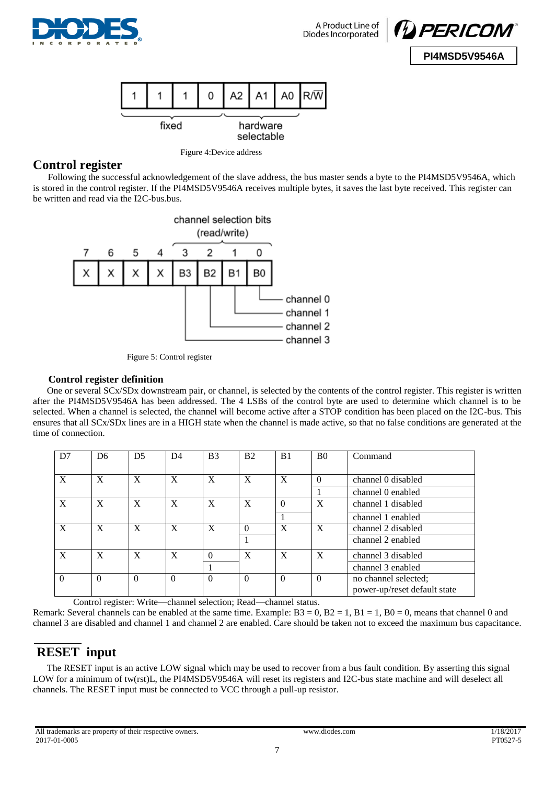





Figure 4:Device address

#### **Control register**

Following the successful acknowledgement of the slave address, the bus master sends a byte to the PI4MSD5V9546A, which is stored in the control register. If the PI4MSD5V9546A receives multiple bytes, it saves the last byte received. This register can be written and read via the I2C-bus.bus.



Figure 5: Control register

#### **Control register definition**

One or several SCx/SDx downstream pair, or channel, is selected by the contents of the control register. This register is written after the PI4MSD5V9546A has been addressed. The 4 LSBs of the control byte are used to determine which channel is to be selected. When a channel is selected, the channel will become active after a STOP condition has been placed on the I2C-bus. This ensures that all SCx/SDx lines are in a HIGH state when the channel is made active, so that no false conditions are generated at the time of connection.

| D7       | D <sub>6</sub> | D <sub>5</sub> | D <sub>4</sub> | B <sub>3</sub> | B <sub>2</sub>            | B <sub>1</sub>   | B <sub>0</sub> | Command                                              |
|----------|----------------|----------------|----------------|----------------|---------------------------|------------------|----------------|------------------------------------------------------|
| X        | X              | X              | X              | X              | $\boldsymbol{\mathrm{X}}$ | $\boldsymbol{X}$ | $\Omega$       | channel 0 disabled                                   |
|          |                |                |                |                |                           |                  |                | channel 0 enabled                                    |
| X        | X              | X              | X              | X              | $\mathbf{X}$              | $\Omega$         | X              | channel 1 disabled                                   |
|          |                |                |                |                |                           |                  |                | channel 1 enabled                                    |
| X        | X              | X              | X              | X              | $\Omega$                  | X                | X              | channel 2 disabled                                   |
|          |                |                |                |                |                           |                  |                | channel 2 enabled                                    |
| X        | X              | X              | X              | $\Omega$       | X                         | $\mathbf{X}$     | X              | channel 3 disabled                                   |
|          |                |                |                |                |                           |                  |                | channel 3 enabled                                    |
| $\Omega$ | $\Omega$       | $\theta$       | $\Omega$       | $\Omega$       | $\Omega$                  | $\Omega$         | $\Omega$       | no channel selected;<br>power-up/reset default state |

Control register: Write—channel selection; Read—channel status.

Remark: Several channels can be enabled at the same time. Example:  $B3 = 0$ ,  $B2 = 1$ ,  $B1 = 1$ ,  $B0 = 0$ , means that channel 0 and channel 3 are disabled and channel 1 and channel 2 are enabled. Care should be taken not to exceed the maximum bus capacitance.

## **RESET input**

The RESET input is an active LOW signal which may be used to recover from a bus fault condition. By asserting this signal LOW for a minimum of tw(rst)L, the PI4MSD5V9546A will reset its registers and I2C-bus state machine and will deselect all channels. The RESET input must be connected to VCC through a pull-up resistor.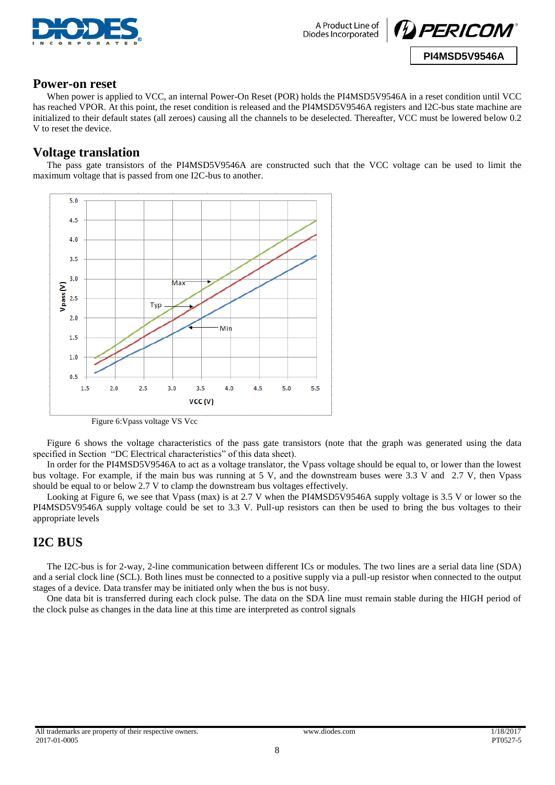



#### **Power-on reset**

When power is applied to VCC, an internal Power-On Reset (POR) holds the PI4MSD5V9546A in a reset condition until VCC has reached VPOR. At this point, the reset condition is released and the PI4MSD5V9546A registers and I2C-bus state machine are initialized to their default states (all zeroes) causing all the channels to be deselected. Thereafter, VCC must be lowered below 0.2 V to reset the device.

#### **Voltage translation**

The pass gate transistors of the PI4MSD5V9546A are constructed such that the VCC voltage can be used to limit the maximum voltage that is passed from one I2C-bus to another.



Figure 6:Vpass voltage VS Vcc

Figure 6 shows the voltage characteristics of the pass gate transistors (note that the graph was generated using the data specified in Section "DC Electrical characteristics" of this data sheet).

In order for the PI4MSD5V9546A to act as a voltage translator, the Vpass voltage should be equal to, or lower than the lowest bus voltage. For example, if the main bus was running at 5 V, and the downstream buses were 3.3 V and 2.7 V, then Vpass should be equal to or below 2.7 V to clamp the downstream bus voltages effectively.

Looking at Figure 6, we see that Vpass (max) is at 2.7 V when the PI4MSD5V9546A supply voltage is 3.5 V or lower so the PI4MSD5V9546A supply voltage could be set to 3.3 V. Pull-up resistors can then be used to bring the bus voltages to their appropriate levels

#### **I2C BUS**

The I2C-bus is for 2-way, 2-line communication between different ICs or modules. The two lines are a serial data line (SDA) and a serial clock line (SCL). Both lines must be connected to a positive supply via a pull-up resistor when connected to the output stages of a device. Data transfer may be initiated only when the bus is not busy.

One data bit is transferred during each clock pulse. The data on the SDA line must remain stable during the HIGH period of the clock pulse as changes in the data line at this time are interpreted as control signals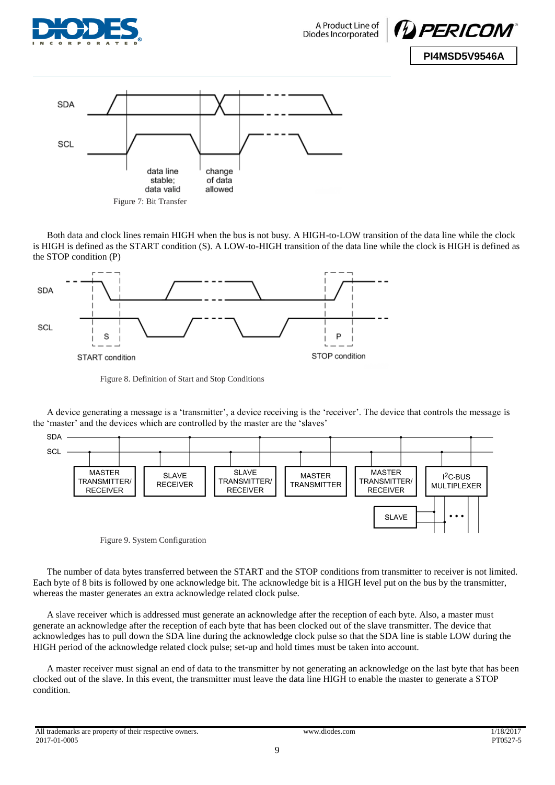





Both data and clock lines remain HIGH when the bus is not busy. A HIGH-to-LOW transition of the data line while the clock is HIGH is defined as the START condition (S). A LOW-to-HIGH transition of the data line while the clock is HIGH is defined as the STOP condition (P)



Figure 8. Definition of Start and Stop Conditions

A device generating a message is a 'transmitter', a device receiving is the 'receiver'. The device that controls the message is the 'master' and the devices which are controlled by the master are the 'slaves'



Figure 9. System Configuration

The number of data bytes transferred between the START and the STOP conditions from transmitter to receiver is not limited. Each byte of 8 bits is followed by one acknowledge bit. The acknowledge bit is a HIGH level put on the bus by the transmitter, whereas the master generates an extra acknowledge related clock pulse.

A slave receiver which is addressed must generate an acknowledge after the reception of each byte. Also, a master must generate an acknowledge after the reception of each byte that has been clocked out of the slave transmitter. The device that acknowledges has to pull down the SDA line during the acknowledge clock pulse so that the SDA line is stable LOW during the HIGH period of the acknowledge related clock pulse; set-up and hold times must be taken into account.

A master receiver must signal an end of data to the transmitter by not generating an acknowledge on the last byte that has been clocked out of the slave. In this event, the transmitter must leave the data line HIGH to enable the master to generate a STOP condition.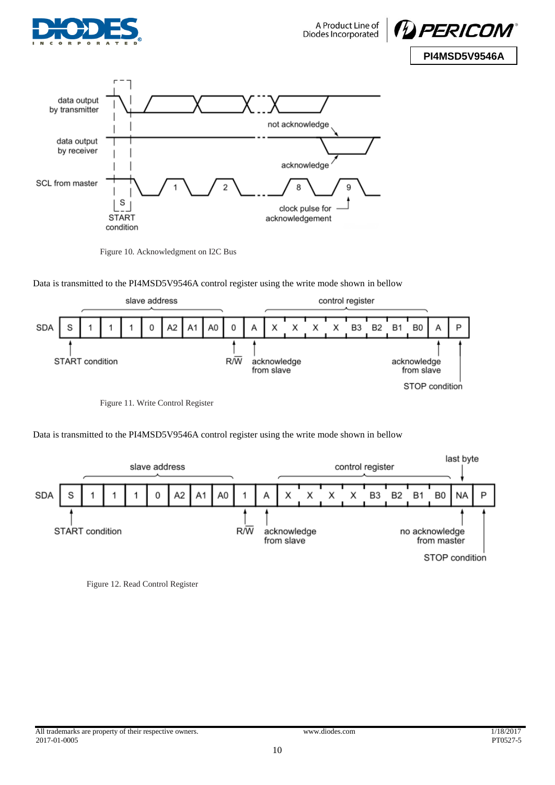





Figure 10. Acknowledgment on I2C Bus

Data is transmitted to the PI4MSD5V9546A control register using the write mode shown in bellow



Figure 11. Write Control Register

Data is transmitted to the PI4MSD5V9546A control register using the write mode shown in bellow



Figure 12. Read Control Register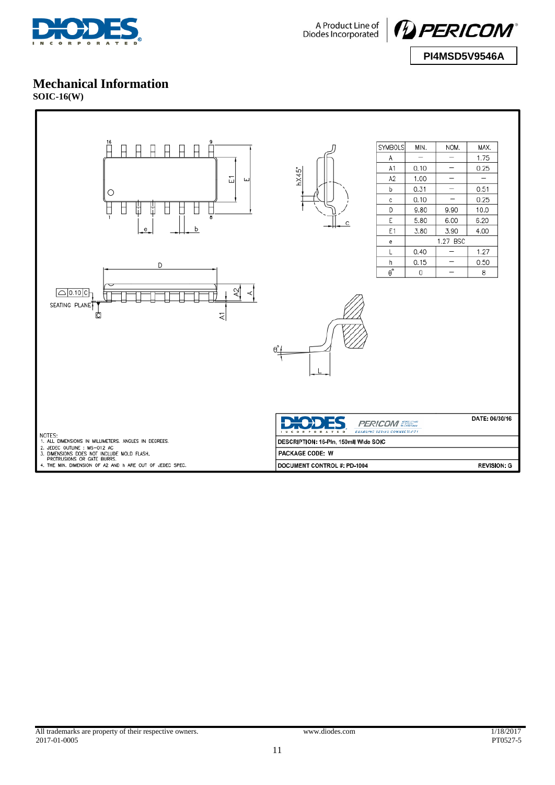



#### **Mechanical Information**

**SOIC-16(W)**

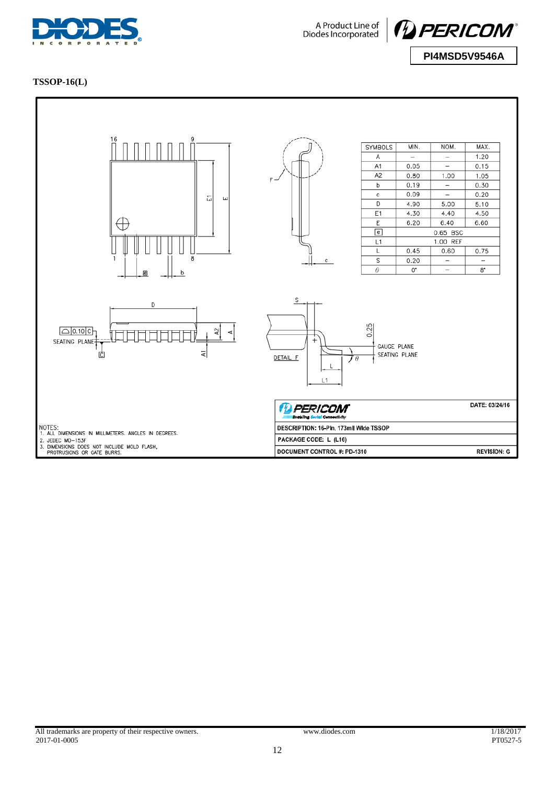



#### **TSSOP-16(L)**

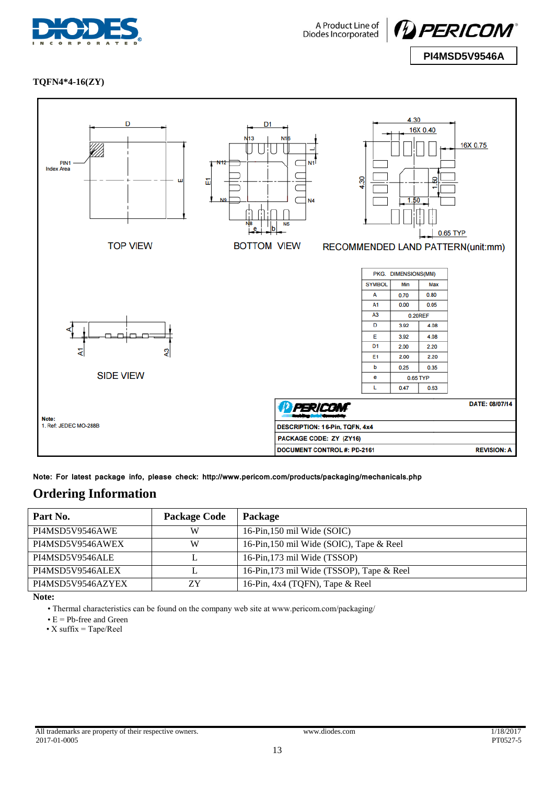



**TQFN4\*4-16(ZY)**



**Note: For latest package info, please check: http://www.pericom.com/products/packaging/mechanicals.php**

### **Ordering Information**

| Part No.          | <b>Package Code</b> | <b>Package</b>                            |
|-------------------|---------------------|-------------------------------------------|
| PI4MSD5V9546AWE   | W                   | 16-Pin, 150 mil Wide (SOIC)               |
| PI4MSD5V9546AWEX  | W                   | 16-Pin, 150 mil Wide (SOIC), Tape & Reel  |
| PI4MSD5V9546ALE   |                     | 16-Pin, 173 mil Wide (TSSOP)              |
| PI4MSD5V9546ALEX  |                     | 16-Pin, 173 mil Wide (TSSOP), Tape & Reel |
| PI4MSD5V9546AZYEX | ΖY                  | 16-Pin, 4x4 (TQFN), Tape & Reel           |

**Note:** 

• Thermal characteristics can be found on the company web site at www.pericom.com/packaging/

• E = Pb-free and Green

• X suffix  $=$  Tape/Reel